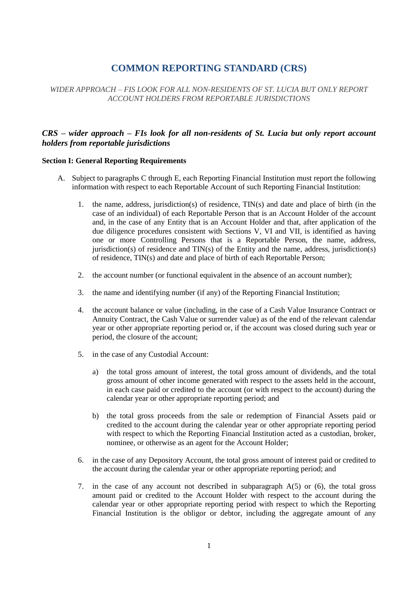# **COMMON REPORTING STANDARD (CRS)**

### *WIDER APPROACH – FIS LOOK FOR ALL NON-RESIDENTS OF ST. LUCIA BUT ONLY REPORT ACCOUNT HOLDERS FROM REPORTABLE JURISDICTIONS*

## *CRS – wider approach – FIs look for all non-residents of St. Lucia but only report account holders from reportable jurisdictions*

#### **Section I: General Reporting Requirements**

- A. Subject to paragraphs C through E, each Reporting Financial Institution must report the following information with respect to each Reportable Account of such Reporting Financial Institution:
	- 1. the name, address, jurisdiction(s) of residence, TIN(s) and date and place of birth (in the case of an individual) of each Reportable Person that is an Account Holder of the account and, in the case of any Entity that is an Account Holder and that, after application of the due diligence procedures consistent with Sections V, VI and VII, is identified as having one or more Controlling Persons that is a Reportable Person, the name, address, jurisdiction(s) of residence and  $TIN(s)$  of the Entity and the name, address, jurisdiction(s) of residence, TIN(s) and date and place of birth of each Reportable Person;
	- 2. the account number (or functional equivalent in the absence of an account number);
	- 3. the name and identifying number (if any) of the Reporting Financial Institution;
	- 4. the account balance or value (including, in the case of a Cash Value Insurance Contract or Annuity Contract, the Cash Value or surrender value) as of the end of the relevant calendar year or other appropriate reporting period or, if the account was closed during such year or period, the closure of the account;
	- 5. in the case of any Custodial Account:
		- a) the total gross amount of interest, the total gross amount of dividends, and the total gross amount of other income generated with respect to the assets held in the account, in each case paid or credited to the account (or with respect to the account) during the calendar year or other appropriate reporting period; and
		- b) the total gross proceeds from the sale or redemption of Financial Assets paid or credited to the account during the calendar year or other appropriate reporting period with respect to which the Reporting Financial Institution acted as a custodian, broker, nominee, or otherwise as an agent for the Account Holder;
	- 6. in the case of any Depository Account, the total gross amount of interest paid or credited to the account during the calendar year or other appropriate reporting period; and
	- 7. in the case of any account not described in subparagraph A(5) or (6), the total gross amount paid or credited to the Account Holder with respect to the account during the calendar year or other appropriate reporting period with respect to which the Reporting Financial Institution is the obligor or debtor, including the aggregate amount of any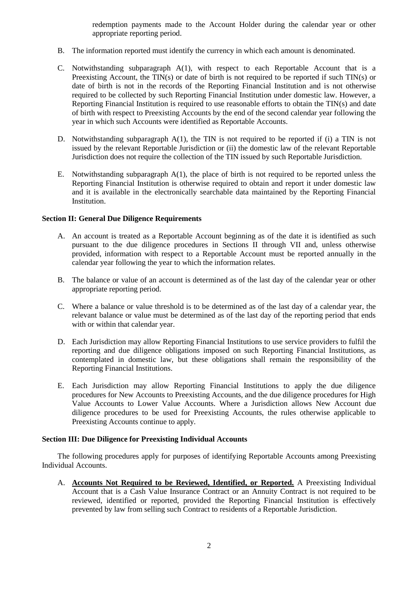redemption payments made to the Account Holder during the calendar year or other appropriate reporting period.

- B. The information reported must identify the currency in which each amount is denominated.
- C. Notwithstanding subparagraph A(1), with respect to each Reportable Account that is a Preexisting Account, the TIN(s) or date of birth is not required to be reported if such TIN(s) or date of birth is not in the records of the Reporting Financial Institution and is not otherwise required to be collected by such Reporting Financial Institution under domestic law. However, a Reporting Financial Institution is required to use reasonable efforts to obtain the TIN(s) and date of birth with respect to Preexisting Accounts by the end of the second calendar year following the year in which such Accounts were identified as Reportable Accounts.
- D. Notwithstanding subparagraph A(1), the TIN is not required to be reported if (i) a TIN is not issued by the relevant Reportable Jurisdiction or (ii) the domestic law of the relevant Reportable Jurisdiction does not require the collection of the TIN issued by such Reportable Jurisdiction.
- E. Notwithstanding subparagraph A(1), the place of birth is not required to be reported unless the Reporting Financial Institution is otherwise required to obtain and report it under domestic law and it is available in the electronically searchable data maintained by the Reporting Financial Institution.

#### **Section II: General Due Diligence Requirements**

- A. An account is treated as a Reportable Account beginning as of the date it is identified as such pursuant to the due diligence procedures in Sections II through VII and, unless otherwise provided, information with respect to a Reportable Account must be reported annually in the calendar year following the year to which the information relates.
- B. The balance or value of an account is determined as of the last day of the calendar year or other appropriate reporting period.
- C. Where a balance or value threshold is to be determined as of the last day of a calendar year, the relevant balance or value must be determined as of the last day of the reporting period that ends with or within that calendar year.
- D. Each Jurisdiction may allow Reporting Financial Institutions to use service providers to fulfil the reporting and due diligence obligations imposed on such Reporting Financial Institutions, as contemplated in domestic law, but these obligations shall remain the responsibility of the Reporting Financial Institutions.
- E. Each Jurisdiction may allow Reporting Financial Institutions to apply the due diligence procedures for New Accounts to Preexisting Accounts, and the due diligence procedures for High Value Accounts to Lower Value Accounts. Where a Jurisdiction allows New Account due diligence procedures to be used for Preexisting Accounts, the rules otherwise applicable to Preexisting Accounts continue to apply.

#### **Section III: Due Diligence for Preexisting Individual Accounts**

The following procedures apply for purposes of identifying Reportable Accounts among Preexisting Individual Accounts.

A. **Accounts Not Required to be Reviewed, Identified, or Reported.** A Preexisting Individual Account that is a Cash Value Insurance Contract or an Annuity Contract is not required to be reviewed, identified or reported, provided the Reporting Financial Institution is effectively prevented by law from selling such Contract to residents of a Reportable Jurisdiction.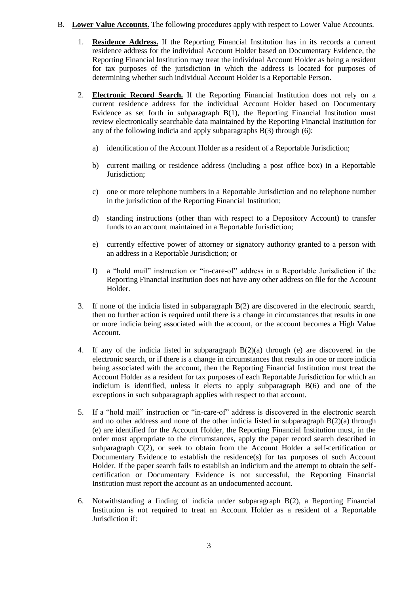- B. **Lower Value Accounts.** The following procedures apply with respect to Lower Value Accounts.
	- 1. **Residence Address.** If the Reporting Financial Institution has in its records a current residence address for the individual Account Holder based on Documentary Evidence, the Reporting Financial Institution may treat the individual Account Holder as being a resident for tax purposes of the jurisdiction in which the address is located for purposes of determining whether such individual Account Holder is a Reportable Person.
	- 2. **Electronic Record Search.** If the Reporting Financial Institution does not rely on a current residence address for the individual Account Holder based on Documentary Evidence as set forth in subparagraph B(1), the Reporting Financial Institution must review electronically searchable data maintained by the Reporting Financial Institution for any of the following indicia and apply subparagraphs  $B(3)$  through  $(6)$ :
		- a) identification of the Account Holder as a resident of a Reportable Jurisdiction;
		- b) current mailing or residence address (including a post office box) in a Reportable Jurisdiction;
		- c) one or more telephone numbers in a Reportable Jurisdiction and no telephone number in the jurisdiction of the Reporting Financial Institution;
		- d) standing instructions (other than with respect to a Depository Account) to transfer funds to an account maintained in a Reportable Jurisdiction;
		- e) currently effective power of attorney or signatory authority granted to a person with an address in a Reportable Jurisdiction; or
		- f) a "hold mail" instruction or "in-care-of" address in a Reportable Jurisdiction if the Reporting Financial Institution does not have any other address on file for the Account Holder.
	- 3. If none of the indicia listed in subparagraph B(2) are discovered in the electronic search, then no further action is required until there is a change in circumstances that results in one or more indicia being associated with the account, or the account becomes a High Value Account.
	- 4. If any of the indicia listed in subparagraph B(2)(a) through (e) are discovered in the electronic search, or if there is a change in circumstances that results in one or more indicia being associated with the account, then the Reporting Financial Institution must treat the Account Holder as a resident for tax purposes of each Reportable Jurisdiction for which an indicium is identified, unless it elects to apply subparagraph B(6) and one of the exceptions in such subparagraph applies with respect to that account.
	- 5. If a "hold mail" instruction or "in-care-of" address is discovered in the electronic search and no other address and none of the other indicia listed in subparagraph  $B(2)(a)$  through (e) are identified for the Account Holder, the Reporting Financial Institution must, in the order most appropriate to the circumstances, apply the paper record search described in subparagraph C(2), or seek to obtain from the Account Holder a self-certification or Documentary Evidence to establish the residence(s) for tax purposes of such Account Holder. If the paper search fails to establish an indicium and the attempt to obtain the selfcertification or Documentary Evidence is not successful, the Reporting Financial Institution must report the account as an undocumented account.
	- 6. Notwithstanding a finding of indicia under subparagraph B(2), a Reporting Financial Institution is not required to treat an Account Holder as a resident of a Reportable Jurisdiction if: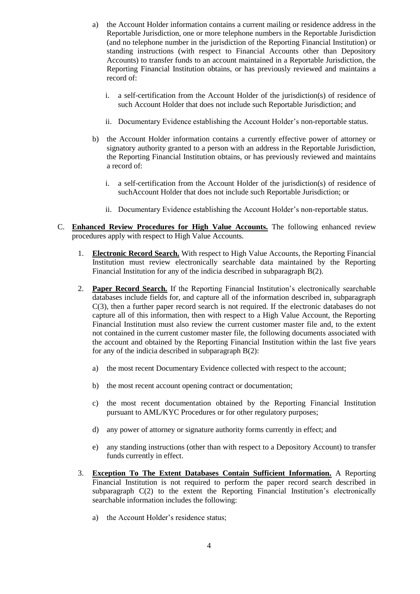- a) the Account Holder information contains a current mailing or residence address in the Reportable Jurisdiction, one or more telephone numbers in the Reportable Jurisdiction (and no telephone number in the jurisdiction of the Reporting Financial Institution) or standing instructions (with respect to Financial Accounts other than Depository Accounts) to transfer funds to an account maintained in a Reportable Jurisdiction, the Reporting Financial Institution obtains, or has previously reviewed and maintains a record of:
	- i. a self-certification from the Account Holder of the jurisdiction(s) of residence of such Account Holder that does not include such Reportable Jurisdiction; and
	- ii. Documentary Evidence establishing the Account Holder's non-reportable status.
- b) the Account Holder information contains a currently effective power of attorney or signatory authority granted to a person with an address in the Reportable Jurisdiction, the Reporting Financial Institution obtains, or has previously reviewed and maintains a record of:
	- i. a self-certification from the Account Holder of the jurisdiction(s) of residence of suchAccount Holder that does not include such Reportable Jurisdiction; or
	- ii. Documentary Evidence establishing the Account Holder's non-reportable status.
- C. **Enhanced Review Procedures for High Value Accounts.** The following enhanced review procedures apply with respect to High Value Accounts.
	- 1. **Electronic Record Search.** With respect to High Value Accounts, the Reporting Financial Institution must review electronically searchable data maintained by the Reporting Financial Institution for any of the indicia described in subparagraph B(2).
	- 2. **Paper Record Search.** If the Reporting Financial Institution's electronically searchable databases include fields for, and capture all of the information described in, subparagraph C(3), then a further paper record search is not required. If the electronic databases do not capture all of this information, then with respect to a High Value Account, the Reporting Financial Institution must also review the current customer master file and, to the extent not contained in the current customer master file, the following documents associated with the account and obtained by the Reporting Financial Institution within the last five years for any of the indicia described in subparagraph B(2):
		- a) the most recent Documentary Evidence collected with respect to the account;
		- b) the most recent account opening contract or documentation;
		- c) the most recent documentation obtained by the Reporting Financial Institution pursuant to AML/KYC Procedures or for other regulatory purposes;
		- d) any power of attorney or signature authority forms currently in effect; and
		- e) any standing instructions (other than with respect to a Depository Account) to transfer funds currently in effect.
	- 3. **Exception To The Extent Databases Contain Sufficient Information.** A Reporting Financial Institution is not required to perform the paper record search described in subparagraph  $C(2)$  to the extent the Reporting Financial Institution's electronically searchable information includes the following:
		- a) the Account Holder's residence status;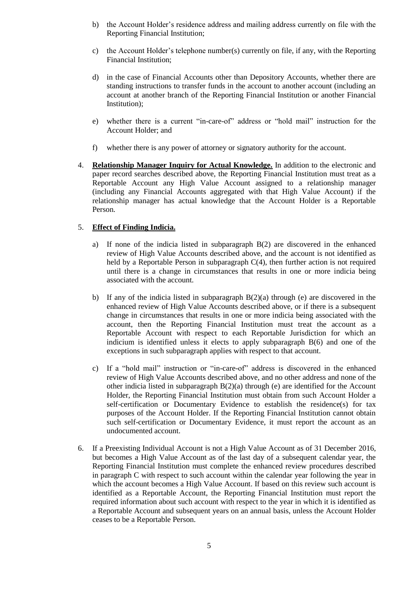- b) the Account Holder's residence address and mailing address currently on file with the Reporting Financial Institution;
- c) the Account Holder's telephone number(s) currently on file, if any, with the Reporting Financial Institution;
- d) in the case of Financial Accounts other than Depository Accounts, whether there are standing instructions to transfer funds in the account to another account (including an account at another branch of the Reporting Financial Institution or another Financial Institution);
- e) whether there is a current "in-care-of" address or "hold mail" instruction for the Account Holder; and
- f) whether there is any power of attorney or signatory authority for the account.
- 4. **Relationship Manager Inquiry for Actual Knowledge.** In addition to the electronic and paper record searches described above, the Reporting Financial Institution must treat as a Reportable Account any High Value Account assigned to a relationship manager (including any Financial Accounts aggregated with that High Value Account) if the relationship manager has actual knowledge that the Account Holder is a Reportable Person.

### 5. **Effect of Finding Indicia.**

- a) If none of the indicia listed in subparagraph B(2) are discovered in the enhanced review of High Value Accounts described above, and the account is not identified as held by a Reportable Person in subparagraph C(4), then further action is not required until there is a change in circumstances that results in one or more indicia being associated with the account.
- b) If any of the indicia listed in subparagraph  $B(2)(a)$  through (e) are discovered in the enhanced review of High Value Accounts described above, or if there is a subsequent change in circumstances that results in one or more indicia being associated with the account, then the Reporting Financial Institution must treat the account as a Reportable Account with respect to each Reportable Jurisdiction for which an indicium is identified unless it elects to apply subparagraph B(6) and one of the exceptions in such subparagraph applies with respect to that account.
- c) If a "hold mail" instruction or "in-care-of" address is discovered in the enhanced review of High Value Accounts described above, and no other address and none of the other indicia listed in subparagraph  $B(2)(a)$  through (e) are identified for the Account Holder, the Reporting Financial Institution must obtain from such Account Holder a self-certification or Documentary Evidence to establish the residence(s) for tax purposes of the Account Holder. If the Reporting Financial Institution cannot obtain such self-certification or Documentary Evidence, it must report the account as an undocumented account.
- 6. If a Preexisting Individual Account is not a High Value Account as of 31 December 2016, but becomes a High Value Account as of the last day of a subsequent calendar year, the Reporting Financial Institution must complete the enhanced review procedures described in paragraph C with respect to such account within the calendar year following the year in which the account becomes a High Value Account. If based on this review such account is identified as a Reportable Account, the Reporting Financial Institution must report the required information about such account with respect to the year in which it is identified as a Reportable Account and subsequent years on an annual basis, unless the Account Holder ceases to be a Reportable Person.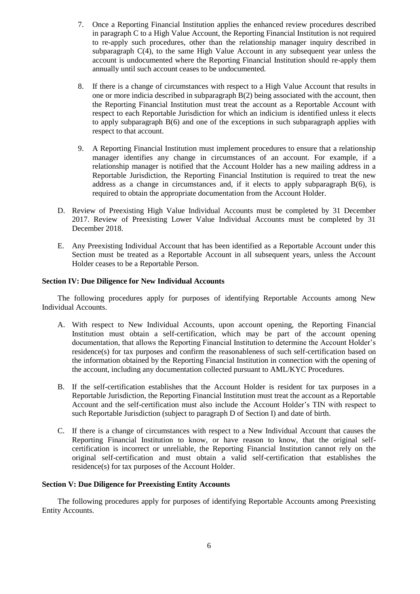- 7. Once a Reporting Financial Institution applies the enhanced review procedures described in paragraph C to a High Value Account, the Reporting Financial Institution is not required to re-apply such procedures, other than the relationship manager inquiry described in subparagraph C(4), to the same High Value Account in any subsequent year unless the account is undocumented where the Reporting Financial Institution should re-apply them annually until such account ceases to be undocumented.
- 8. If there is a change of circumstances with respect to a High Value Account that results in one or more indicia described in subparagraph B(2) being associated with the account, then the Reporting Financial Institution must treat the account as a Reportable Account with respect to each Reportable Jurisdiction for which an indicium is identified unless it elects to apply subparagraph B(6) and one of the exceptions in such subparagraph applies with respect to that account.
- 9. A Reporting Financial Institution must implement procedures to ensure that a relationship manager identifies any change in circumstances of an account. For example, if a relationship manager is notified that the Account Holder has a new mailing address in a Reportable Jurisdiction, the Reporting Financial Institution is required to treat the new address as a change in circumstances and, if it elects to apply subparagraph B(6), is required to obtain the appropriate documentation from the Account Holder.
- D. Review of Preexisting High Value Individual Accounts must be completed by 31 December 2017. Review of Preexisting Lower Value Individual Accounts must be completed by 31 December 2018.
- E. Any Preexisting Individual Account that has been identified as a Reportable Account under this Section must be treated as a Reportable Account in all subsequent years, unless the Account Holder ceases to be a Reportable Person.

#### **Section IV: Due Diligence for New Individual Accounts**

The following procedures apply for purposes of identifying Reportable Accounts among New Individual Accounts.

- A. With respect to New Individual Accounts, upon account opening, the Reporting Financial Institution must obtain a self-certification, which may be part of the account opening documentation, that allows the Reporting Financial Institution to determine the Account Holder's residence(s) for tax purposes and confirm the reasonableness of such self-certification based on the information obtained by the Reporting Financial Institution in connection with the opening of the account, including any documentation collected pursuant to AML/KYC Procedures.
- B. If the self-certification establishes that the Account Holder is resident for tax purposes in a Reportable Jurisdiction, the Reporting Financial Institution must treat the account as a Reportable Account and the self-certification must also include the Account Holder's TIN with respect to such Reportable Jurisdiction (subject to paragraph D of Section I) and date of birth.
- C. If there is a change of circumstances with respect to a New Individual Account that causes the Reporting Financial Institution to know, or have reason to know, that the original selfcertification is incorrect or unreliable, the Reporting Financial Institution cannot rely on the original self-certification and must obtain a valid self-certification that establishes the residence(s) for tax purposes of the Account Holder.

#### **Section V: Due Diligence for Preexisting Entity Accounts**

The following procedures apply for purposes of identifying Reportable Accounts among Preexisting Entity Accounts.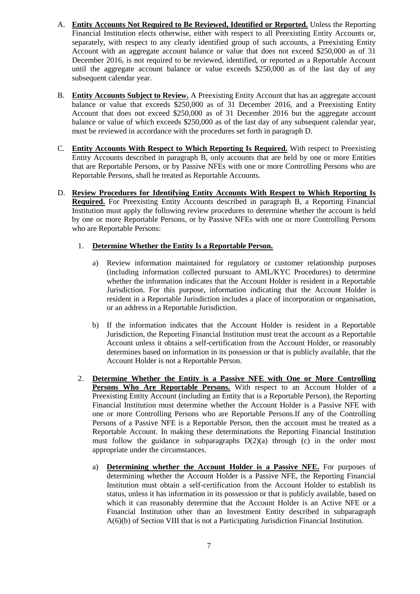- A. **Entity Accounts Not Required to Be Reviewed, Identified or Reported.** Unless the Reporting Financial Institution elects otherwise, either with respect to all Preexisting Entity Accounts or, separately, with respect to any clearly identified group of such accounts, a Preexisting Entity Account with an aggregate account balance or value that does not exceed \$250,000 as of 31 December 2016, is not required to be reviewed, identified, or reported as a Reportable Account until the aggregate account balance or value exceeds \$250,000 as of the last day of any subsequent calendar year.
- B. **Entity Accounts Subject to Review.** A Preexisting Entity Account that has an aggregate account balance or value that exceeds \$250,000 as of 31 December 2016, and a Preexisting Entity Account that does not exceed \$250,000 as of 31 December 2016 but the aggregate account balance or value of which exceeds \$250,000 as of the last day of any subsequent calendar year, must be reviewed in accordance with the procedures set forth in paragraph D.
- C. **Entity Accounts With Respect to Which Reporting Is Required.** With respect to Preexisting Entity Accounts described in paragraph B, only accounts that are held by one or more Entities that are Reportable Persons, or by Passive NFEs with one or more Controlling Persons who are Reportable Persons, shall be treated as Reportable Accounts.
- D. **Review Procedures for Identifying Entity Accounts With Respect to Which Reporting Is Required.** For Preexisting Entity Accounts described in paragraph B, a Reporting Financial Institution must apply the following review procedures to determine whether the account is held by one or more Reportable Persons, or by Passive NFEs with one or more Controlling Persons who are Reportable Persons:
	- 1. **Determine Whether the Entity Is a Reportable Person.**
		- a) Review information maintained for regulatory or customer relationship purposes (including information collected pursuant to AML/KYC Procedures) to determine whether the information indicates that the Account Holder is resident in a Reportable Jurisdiction. For this purpose, information indicating that the Account Holder is resident in a Reportable Jurisdiction includes a place of incorporation or organisation, or an address in a Reportable Jurisdiction.
		- b) If the information indicates that the Account Holder is resident in a Reportable Jurisdiction, the Reporting Financial Institution must treat the account as a Reportable Account unless it obtains a self-certification from the Account Holder, or reasonably determines based on information in its possession or that is publicly available, that the Account Holder is not a Reportable Person.
	- 2. **Determine Whether the Entity is a Passive NFE with One or More Controlling Persons Who Are Reportable Persons.** With respect to an Account Holder of a Preexisting Entity Account (including an Entity that is a Reportable Person), the Reporting Financial Institution must determine whether the Account Holder is a Passive NFE with one or more Controlling Persons who are Reportable Persons.If any of the Controlling Persons of a Passive NFE is a Reportable Person, then the account must be treated as a Reportable Account. In making these determinations the Reporting Financial Institution must follow the guidance in subparagraphs  $D(2)(a)$  through (c) in the order most appropriate under the circumstances.
		- a) **Determining whether the Account Holder is a Passive NFE.** For purposes of determining whether the Account Holder is a Passive NFE, the Reporting Financial Institution must obtain a self-certification from the Account Holder to establish its status, unless it has information in its possession or that is publicly available, based on which it can reasonably determine that the Account Holder is an Active NFE or a Financial Institution other than an Investment Entity described in subparagraph A(6)(b) of Section VIII that is not a Participating Jurisdiction Financial Institution.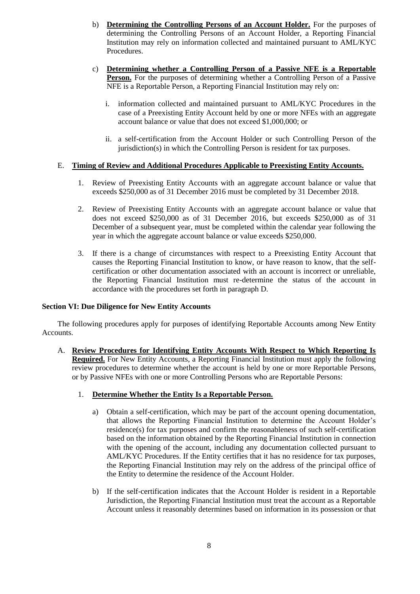- b) **Determining the Controlling Persons of an Account Holder.** For the purposes of determining the Controlling Persons of an Account Holder, a Reporting Financial Institution may rely on information collected and maintained pursuant to AML/KYC Procedures.
- c) **Determining whether a Controlling Person of a Passive NFE is a Reportable Person.** For the purposes of determining whether a Controlling Person of a Passive NFE is a Reportable Person, a Reporting Financial Institution may rely on:
	- i. information collected and maintained pursuant to AML/KYC Procedures in the case of a Preexisting Entity Account held by one or more NFEs with an aggregate account balance or value that does not exceed \$1,000,000; or
	- ii. a self-certification from the Account Holder or such Controlling Person of the jurisdiction(s) in which the Controlling Person is resident for tax purposes.

#### E. **Timing of Review and Additional Procedures Applicable to Preexisting Entity Accounts.**

- 1. Review of Preexisting Entity Accounts with an aggregate account balance or value that exceeds \$250,000 as of 31 December 2016 must be completed by 31 December 2018.
- 2. Review of Preexisting Entity Accounts with an aggregate account balance or value that does not exceed \$250,000 as of 31 December 2016, but exceeds \$250,000 as of 31 December of a subsequent year, must be completed within the calendar year following the year in which the aggregate account balance or value exceeds \$250,000.
- 3. If there is a change of circumstances with respect to a Preexisting Entity Account that causes the Reporting Financial Institution to know, or have reason to know, that the selfcertification or other documentation associated with an account is incorrect or unreliable, the Reporting Financial Institution must re-determine the status of the account in accordance with the procedures set forth in paragraph D.

#### **Section VI: Due Diligence for New Entity Accounts**

The following procedures apply for purposes of identifying Reportable Accounts among New Entity Accounts.

A. **Review Procedures for Identifying Entity Accounts With Respect to Which Reporting Is Required.** For New Entity Accounts, a Reporting Financial Institution must apply the following review procedures to determine whether the account is held by one or more Reportable Persons, or by Passive NFEs with one or more Controlling Persons who are Reportable Persons:

## 1. **Determine Whether the Entity Is a Reportable Person.**

- a) Obtain a self-certification, which may be part of the account opening documentation, that allows the Reporting Financial Institution to determine the Account Holder's residence(s) for tax purposes and confirm the reasonableness of such self-certification based on the information obtained by the Reporting Financial Institution in connection with the opening of the account, including any documentation collected pursuant to AML/KYC Procedures. If the Entity certifies that it has no residence for tax purposes, the Reporting Financial Institution may rely on the address of the principal office of the Entity to determine the residence of the Account Holder.
- b) If the self-certification indicates that the Account Holder is resident in a Reportable Jurisdiction, the Reporting Financial Institution must treat the account as a Reportable Account unless it reasonably determines based on information in its possession or that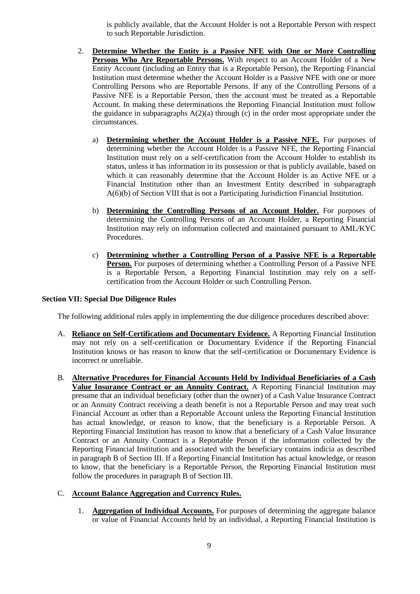is publicly available, that the Account Holder is not a Reportable Person with respect to such Reportable Jurisdiction.

- 2. **Determine Whether the Entity is a Passive NFE with One or More Controlling Persons Who Are Reportable Persons.** With respect to an Account Holder of a New Entity Account (including an Entity that is a Reportable Person), the Reporting Financial Institution must determine whether the Account Holder is a Passive NFE with one or more Controlling Persons who are Reportable Persons. If any of the Controlling Persons of a Passive NFE is a Reportable Person, then the account must be treated as a Reportable Account. In making these determinations the Reporting Financial Institution must follow the guidance in subparagraphs  $A(2)(a)$  through (c) in the order most appropriate under the circumstances.
	- a) **Determining whether the Account Holder is a Passive NFE.** For purposes of determining whether the Account Holder is a Passive NFE, the Reporting Financial Institution must rely on a self-certification from the Account Holder to establish its status, unless it has information in its possession or that is publicly available, based on which it can reasonably determine that the Account Holder is an Active NFE or a Financial Institution other than an Investment Entity described in subparagraph A(6)(b) of Section VIII that is not a Participating Jurisdiction Financial Institution.
	- b) **Determining the Controlling Persons of an Account Holder.** For purposes of determining the Controlling Persons of an Account Holder, a Reporting Financial Institution may rely on information collected and maintained pursuant to AML/KYC Procedures.
	- c) **Determining whether a Controlling Person of a Passive NFE is a Reportable Person.** For purposes of determining whether a Controlling Person of a Passive NFE is a Reportable Person, a Reporting Financial Institution may rely on a selfcertification from the Account Holder or such Controlling Person.

#### **Section VII: Special Due Diligence Rules**

The following additional rules apply in implementing the due diligence procedures described above:

- A. **Reliance on Self-Certifications and Documentary Evidence.** A Reporting Financial Institution may not rely on a self-certification or Documentary Evidence if the Reporting Financial Institution knows or has reason to know that the self-certification or Documentary Evidence is incorrect or unreliable.
- B. **Alternative Procedures for Financial Accounts Held by Individual Beneficiaries of a Cash Value Insurance Contract or an Annuity Contract.** A Reporting Financial Institution may presume that an individual beneficiary (other than the owner) of a Cash Value Insurance Contract or an Annuity Contract receiving a death benefit is not a Reportable Person and may treat such Financial Account as other than a Reportable Account unless the Reporting Financial Institution has actual knowledge, or reason to know, that the beneficiary is a Reportable Person. A Reporting Financial Institution has reason to know that a beneficiary of a Cash Value Insurance Contract or an Annuity Contract is a Reportable Person if the information collected by the Reporting Financial Institution and associated with the beneficiary contains indicia as described in paragraph B of Section III. If a Reporting Financial Institution has actual knowledge, or reason to know, that the beneficiary is a Reportable Person, the Reporting Financial Institution must follow the procedures in paragraph B of Section III.

#### C. **Account Balance Aggregation and Currency Rules.**

1. **Aggregation of Individual Accounts.** For purposes of determining the aggregate balance or value of Financial Accounts held by an individual, a Reporting Financial Institution is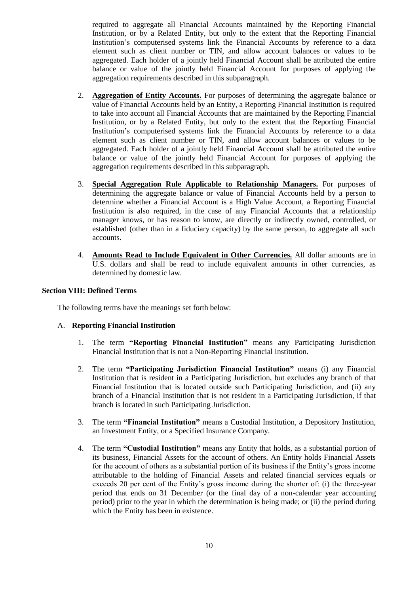required to aggregate all Financial Accounts maintained by the Reporting Financial Institution, or by a Related Entity, but only to the extent that the Reporting Financial Institution's computerised systems link the Financial Accounts by reference to a data element such as client number or TIN, and allow account balances or values to be aggregated. Each holder of a jointly held Financial Account shall be attributed the entire balance or value of the jointly held Financial Account for purposes of applying the aggregation requirements described in this subparagraph.

- 2. **Aggregation of Entity Accounts.** For purposes of determining the aggregate balance or value of Financial Accounts held by an Entity, a Reporting Financial Institution is required to take into account all Financial Accounts that are maintained by the Reporting Financial Institution, or by a Related Entity, but only to the extent that the Reporting Financial Institution's computerised systems link the Financial Accounts by reference to a data element such as client number or TIN, and allow account balances or values to be aggregated. Each holder of a jointly held Financial Account shall be attributed the entire balance or value of the jointly held Financial Account for purposes of applying the aggregation requirements described in this subparagraph.
- 3. **Special Aggregation Rule Applicable to Relationship Managers.** For purposes of determining the aggregate balance or value of Financial Accounts held by a person to determine whether a Financial Account is a High Value Account, a Reporting Financial Institution is also required, in the case of any Financial Accounts that a relationship manager knows, or has reason to know, are directly or indirectly owned, controlled, or established (other than in a fiduciary capacity) by the same person, to aggregate all such accounts.
- 4. **Amounts Read to Include Equivalent in Other Currencies.** All dollar amounts are in U.S. dollars and shall be read to include equivalent amounts in other currencies, as determined by domestic law.

#### **Section VIII: Defined Terms**

The following terms have the meanings set forth below:

#### A. **Reporting Financial Institution**

- 1. The term **"Reporting Financial Institution"** means any Participating Jurisdiction Financial Institution that is not a Non-Reporting Financial Institution.
- 2. The term **"Participating Jurisdiction Financial Institution"** means (i) any Financial Institution that is resident in a Participating Jurisdiction, but excludes any branch of that Financial Institution that is located outside such Participating Jurisdiction, and (ii) any branch of a Financial Institution that is not resident in a Participating Jurisdiction, if that branch is located in such Participating Jurisdiction.
- 3. The term **"Financial Institution"** means a Custodial Institution, a Depository Institution, an Investment Entity, or a Specified Insurance Company.
- 4. The term **"Custodial Institution"** means any Entity that holds, as a substantial portion of its business, Financial Assets for the account of others. An Entity holds Financial Assets for the account of others as a substantial portion of its business if the Entity's gross income attributable to the holding of Financial Assets and related financial services equals or exceeds 20 per cent of the Entity's gross income during the shorter of: (i) the three-year period that ends on 31 December (or the final day of a non-calendar year accounting period) prior to the year in which the determination is being made; or (ii) the period during which the Entity has been in existence.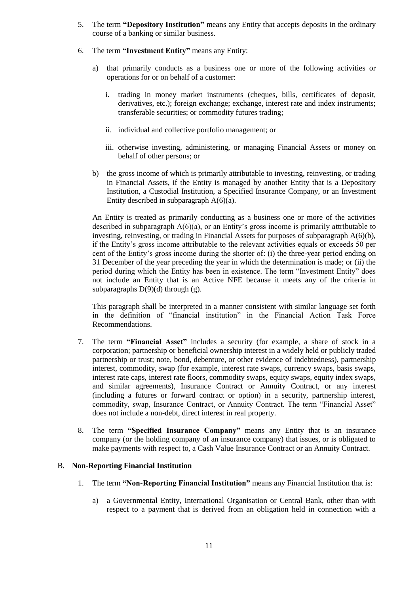- 5. The term **"Depository Institution"** means any Entity that accepts deposits in the ordinary course of a banking or similar business.
- 6. The term **"Investment Entity"** means any Entity:
	- a) that primarily conducts as a business one or more of the following activities or operations for or on behalf of a customer:
		- i. trading in money market instruments (cheques, bills, certificates of deposit, derivatives, etc.); foreign exchange; exchange, interest rate and index instruments; transferable securities; or commodity futures trading;
		- ii. individual and collective portfolio management; or
		- iii. otherwise investing, administering, or managing Financial Assets or money on behalf of other persons; or
	- b) the gross income of which is primarily attributable to investing, reinvesting, or trading in Financial Assets, if the Entity is managed by another Entity that is a Depository Institution, a Custodial Institution, a Specified Insurance Company, or an Investment Entity described in subparagraph  $A(6)(a)$ .

An Entity is treated as primarily conducting as a business one or more of the activities described in subparagraph  $A(6)(a)$ , or an Entity's gross income is primarily attributable to investing, reinvesting, or trading in Financial Assets for purposes of subparagraph A(6)(b), if the Entity's gross income attributable to the relevant activities equals or exceeds 50 per cent of the Entity's gross income during the shorter of: (i) the three-year period ending on 31 December of the year preceding the year in which the determination is made; or (ii) the period during which the Entity has been in existence. The term "Investment Entity" does not include an Entity that is an Active NFE because it meets any of the criteria in subparagraphs  $D(9)(d)$  through  $(g)$ .

This paragraph shall be interpreted in a manner consistent with similar language set forth in the definition of "financial institution" in the Financial Action Task Force Recommendations.

- 7. The term **"Financial Asset"** includes a security (for example, a share of stock in a corporation; partnership or beneficial ownership interest in a widely held or publicly traded partnership or trust; note, bond, debenture, or other evidence of indebtedness), partnership interest, commodity, swap (for example, interest rate swaps, currency swaps, basis swaps, interest rate caps, interest rate floors, commodity swaps, equity swaps, equity index swaps, and similar agreements), Insurance Contract or Annuity Contract, or any interest (including a futures or forward contract or option) in a security, partnership interest, commodity, swap, Insurance Contract, or Annuity Contract. The term "Financial Asset" does not include a non-debt, direct interest in real property.
- 8. The term **"Specified Insurance Company"** means any Entity that is an insurance company (or the holding company of an insurance company) that issues, or is obligated to make payments with respect to, a Cash Value Insurance Contract or an Annuity Contract.

#### B. **Non-Reporting Financial Institution**

- 1. The term **"Non-Reporting Financial Institution"** means any Financial Institution that is:
	- a) a Governmental Entity, International Organisation or Central Bank, other than with respect to a payment that is derived from an obligation held in connection with a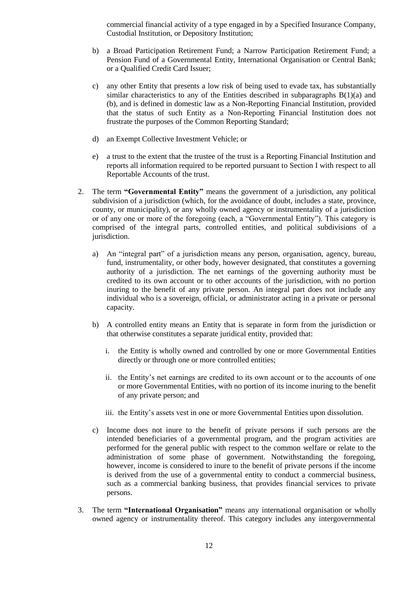commercial financial activity of a type engaged in by a Specified Insurance Company, Custodial Institution, or Depository Institution;

- b) a Broad Participation Retirement Fund; a Narrow Participation Retirement Fund; a Pension Fund of a Governmental Entity, International Organisation or Central Bank; or a Qualified Credit Card Issuer;
- c) any other Entity that presents a low risk of being used to evade tax, has substantially similar characteristics to any of the Entities described in subparagraphs B(1)(a) and (b), and is defined in domestic law as a Non-Reporting Financial Institution, provided that the status of such Entity as a Non-Reporting Financial Institution does not frustrate the purposes of the Common Reporting Standard;
- d) an Exempt Collective Investment Vehicle; or
- e) a trust to the extent that the trustee of the trust is a Reporting Financial Institution and reports all information required to be reported pursuant to Section I with respect to all Reportable Accounts of the trust.
- 2. The term **"Governmental Entity"** means the government of a jurisdiction, any political subdivision of a jurisdiction (which, for the avoidance of doubt, includes a state, province, county, or municipality), or any wholly owned agency or instrumentality of a jurisdiction or of any one or more of the foregoing (each, a "Governmental Entity"). This category is comprised of the integral parts, controlled entities, and political subdivisions of a jurisdiction.
	- a) An "integral part" of a jurisdiction means any person, organisation, agency, bureau, fund, instrumentality, or other body, however designated, that constitutes a governing authority of a jurisdiction. The net earnings of the governing authority must be credited to its own account or to other accounts of the jurisdiction, with no portion inuring to the benefit of any private person. An integral part does not include any individual who is a sovereign, official, or administrator acting in a private or personal capacity.
	- b) A controlled entity means an Entity that is separate in form from the jurisdiction or that otherwise constitutes a separate juridical entity, provided that:
		- i. the Entity is wholly owned and controlled by one or more Governmental Entities directly or through one or more controlled entities;
		- ii. the Entity's net earnings are credited to its own account or to the accounts of one or more Governmental Entities, with no portion of its income inuring to the benefit of any private person; and
		- iii. the Entity's assets vest in one or more Governmental Entities upon dissolution.
	- c) Income does not inure to the benefit of private persons if such persons are the intended beneficiaries of a governmental program, and the program activities are performed for the general public with respect to the common welfare or relate to the administration of some phase of government. Notwithstanding the foregoing, however, income is considered to inure to the benefit of private persons if the income is derived from the use of a governmental entity to conduct a commercial business, such as a commercial banking business, that provides financial services to private persons.
- 3. The term **"International Organisation"** means any international organisation or wholly owned agency or instrumentality thereof. This category includes any intergovernmental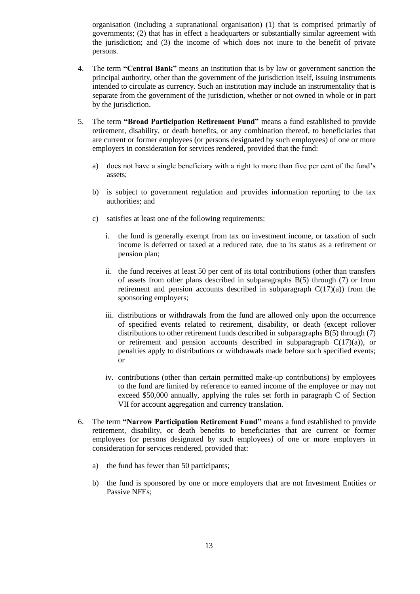organisation (including a supranational organisation) (1) that is comprised primarily of governments; (2) that has in effect a headquarters or substantially similar agreement with the jurisdiction; and (3) the income of which does not inure to the benefit of private persons.

- 4. The term **"Central Bank"** means an institution that is by law or government sanction the principal authority, other than the government of the jurisdiction itself, issuing instruments intended to circulate as currency. Such an institution may include an instrumentality that is separate from the government of the jurisdiction, whether or not owned in whole or in part by the jurisdiction.
- 5. The term **"Broad Participation Retirement Fund"** means a fund established to provide retirement, disability, or death benefits, or any combination thereof, to beneficiaries that are current or former employees (or persons designated by such employees) of one or more employers in consideration for services rendered, provided that the fund:
	- a) does not have a single beneficiary with a right to more than five per cent of the fund's assets;
	- b) is subject to government regulation and provides information reporting to the tax authorities; and
	- c) satisfies at least one of the following requirements:
		- i. the fund is generally exempt from tax on investment income, or taxation of such income is deferred or taxed at a reduced rate, due to its status as a retirement or pension plan;
		- ii. the fund receives at least 50 per cent of its total contributions (other than transfers of assets from other plans described in subparagraphs B(5) through (7) or from retirement and pension accounts described in subparagraph  $C(17)(a)$  from the sponsoring employers;
		- iii. distributions or withdrawals from the fund are allowed only upon the occurrence of specified events related to retirement, disability, or death (except rollover distributions to other retirement funds described in subparagraphs B(5) through (7) or retirement and pension accounts described in subparagraph  $C(17)(a)$ , or penalties apply to distributions or withdrawals made before such specified events; or
		- iv. contributions (other than certain permitted make-up contributions) by employees to the fund are limited by reference to earned income of the employee or may not exceed \$50,000 annually, applying the rules set forth in paragraph C of Section VII for account aggregation and currency translation.
- 6. The term **"Narrow Participation Retirement Fund"** means a fund established to provide retirement, disability, or death benefits to beneficiaries that are current or former employees (or persons designated by such employees) of one or more employers in consideration for services rendered, provided that:
	- a) the fund has fewer than 50 participants;
	- b) the fund is sponsored by one or more employers that are not Investment Entities or Passive NFEs;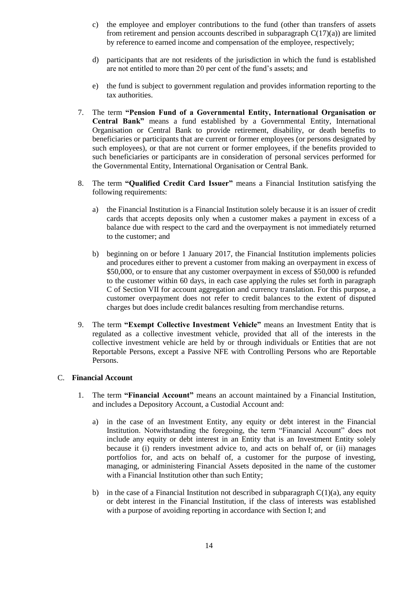- c) the employee and employer contributions to the fund (other than transfers of assets from retirement and pension accounts described in subparagraph  $C(17)(a)$ ) are limited by reference to earned income and compensation of the employee, respectively;
- d) participants that are not residents of the jurisdiction in which the fund is established are not entitled to more than 20 per cent of the fund's assets; and
- e) the fund is subject to government regulation and provides information reporting to the tax authorities.
- 7. The term **"Pension Fund of a Governmental Entity, International Organisation or Central Bank"** means a fund established by a Governmental Entity, International Organisation or Central Bank to provide retirement, disability, or death benefits to beneficiaries or participants that are current or former employees (or persons designated by such employees), or that are not current or former employees, if the benefits provided to such beneficiaries or participants are in consideration of personal services performed for the Governmental Entity, International Organisation or Central Bank.
- 8. The term **"Qualified Credit Card Issuer"** means a Financial Institution satisfying the following requirements:
	- a) the Financial Institution is a Financial Institution solely because it is an issuer of credit cards that accepts deposits only when a customer makes a payment in excess of a balance due with respect to the card and the overpayment is not immediately returned to the customer; and
	- b) beginning on or before 1 January 2017, the Financial Institution implements policies and procedures either to prevent a customer from making an overpayment in excess of \$50,000, or to ensure that any customer overpayment in excess of \$50,000 is refunded to the customer within 60 days, in each case applying the rules set forth in paragraph C of Section VII for account aggregation and currency translation. For this purpose, a customer overpayment does not refer to credit balances to the extent of disputed charges but does include credit balances resulting from merchandise returns.
- 9. The term **"Exempt Collective Investment Vehicle"** means an Investment Entity that is regulated as a collective investment vehicle, provided that all of the interests in the collective investment vehicle are held by or through individuals or Entities that are not Reportable Persons, except a Passive NFE with Controlling Persons who are Reportable Persons.

#### C. **Financial Account**

- 1. The term **"Financial Account"** means an account maintained by a Financial Institution, and includes a Depository Account, a Custodial Account and:
	- a) in the case of an Investment Entity, any equity or debt interest in the Financial Institution. Notwithstanding the foregoing, the term "Financial Account" does not include any equity or debt interest in an Entity that is an Investment Entity solely because it (i) renders investment advice to, and acts on behalf of, or (ii) manages portfolios for, and acts on behalf of, a customer for the purpose of investing, managing, or administering Financial Assets deposited in the name of the customer with a Financial Institution other than such Entity;
	- b) in the case of a Financial Institution not described in subparagraph  $C(1)(a)$ , any equity or debt interest in the Financial Institution, if the class of interests was established with a purpose of avoiding reporting in accordance with Section I; and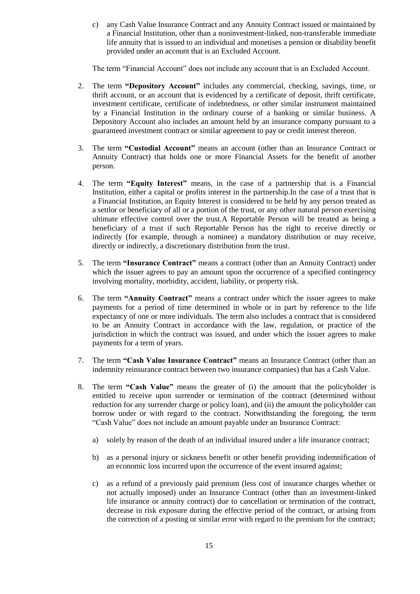c) any Cash Value Insurance Contract and any Annuity Contract issued or maintained by a Financial Institution, other than a noninvestment-linked, non-transferable immediate life annuity that is issued to an individual and monetises a pension or disability benefit provided under an account that is an Excluded Account.

The term "Financial Account" does not include any account that is an Excluded Account.

- 2. The term **"Depository Account"** includes any commercial, checking, savings, time, or thrift account, or an account that is evidenced by a certificate of deposit, thrift certificate, investment certificate, certificate of indebtedness, or other similar instrument maintained by a Financial Institution in the ordinary course of a banking or similar business. A Depository Account also includes an amount held by an insurance company pursuant to a guaranteed investment contract or similar agreement to pay or credit interest thereon.
- 3. The term **"Custodial Account"** means an account (other than an Insurance Contract or Annuity Contract) that holds one or more Financial Assets for the benefit of another person.
- 4. The term **"Equity Interest"** means, in the case of a partnership that is a Financial Institution, either a capital or profits interest in the partnership.In the case of a trust that is a Financial Institution, an Equity Interest is considered to be held by any person treated as a settlor or beneficiary of all or a portion of the trust, or any other natural person exercising ultimate effective control over the trust.A Reportable Person will be treated as being a beneficiary of a trust if such Reportable Person has the right to receive directly or indirectly (for example, through a nominee) a mandatory distribution or may receive, directly or indirectly, a discretionary distribution from the trust.
- 5. The term **"Insurance Contract"** means a contract (other than an Annuity Contract) under which the issuer agrees to pay an amount upon the occurrence of a specified contingency involving mortality, morbidity, accident, liability, or property risk.
- 6. The term **"Annuity Contract"** means a contract under which the issuer agrees to make payments for a period of time determined in whole or in part by reference to the life expectancy of one or more individuals. The term also includes a contract that is considered to be an Annuity Contract in accordance with the law, regulation, or practice of the jurisdiction in which the contract was issued, and under which the issuer agrees to make payments for a term of years.
- 7. The term **"Cash Value Insurance Contract"** means an Insurance Contract (other than an indemnity reinsurance contract between two insurance companies) that has a Cash Value.
- 8. The term **"Cash Value"** means the greater of (i) the amount that the policyholder is entitled to receive upon surrender or termination of the contract (determined without reduction for any surrender charge or policy loan), and (ii) the amount the policyholder can borrow under or with regard to the contract. Notwithstanding the foregoing, the term "Cash Value" does not include an amount payable under an Insurance Contract:
	- a) solely by reason of the death of an individual insured under a life insurance contract;
	- b) as a personal injury or sickness benefit or other benefit providing indemnification of an economic loss incurred upon the occurrence of the event insured against;
	- c) as a refund of a previously paid premium (less cost of insurance charges whether or not actually imposed) under an Insurance Contract (other than an investment-linked life insurance or annuity contract) due to cancellation or termination of the contract, decrease in risk exposure during the effective period of the contract, or arising from the correction of a posting or similar error with regard to the premium for the contract;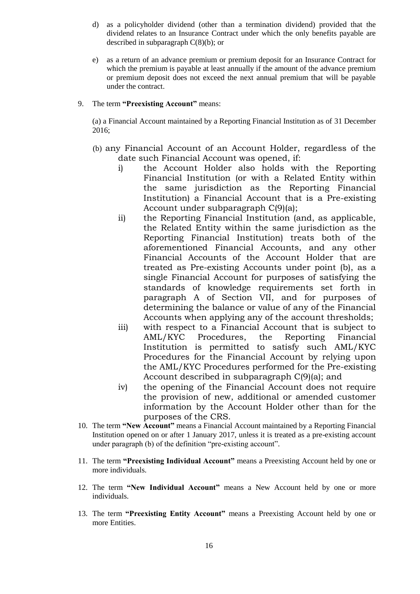- d) as a policyholder dividend (other than a termination dividend) provided that the dividend relates to an Insurance Contract under which the only benefits payable are described in subparagraph  $C(8)(b)$ ; or
- e) as a return of an advance premium or premium deposit for an Insurance Contract for which the premium is payable at least annually if the amount of the advance premium or premium deposit does not exceed the next annual premium that will be payable under the contract.
- 9. The term **"Preexisting Account"** means:

(a) a Financial Account maintained by a Reporting Financial Institution as of 31 December 2016;

- (b) any Financial Account of an Account Holder, regardless of the date such Financial Account was opened, if:
	- i) the Account Holder also holds with the Reporting Financial Institution (or with a Related Entity within the same jurisdiction as the Reporting Financial Institution) a Financial Account that is a Pre-existing Account under subparagraph C(9)(a);
	- ii) the Reporting Financial Institution (and, as applicable, the Related Entity within the same jurisdiction as the Reporting Financial Institution) treats both of the aforementioned Financial Accounts, and any other Financial Accounts of the Account Holder that are treated as Pre-existing Accounts under point (b), as a single Financial Account for purposes of satisfying the standards of knowledge requirements set forth in paragraph A of Section VII, and for purposes of determining the balance or value of any of the Financial Accounts when applying any of the account thresholds;
	- iii) with respect to a Financial Account that is subject to AML/KYC Procedures, the Reporting Financial Institution is permitted to satisfy such AML/KYC Procedures for the Financial Account by relying upon the AML/KYC Procedures performed for the Pre-existing Account described in subparagraph C(9)(a); and
	- iv) the opening of the Financial Account does not require the provision of new, additional or amended customer information by the Account Holder other than for the purposes of the CRS.
- 10. The term **"New Account"** means a Financial Account maintained by a Reporting Financial Institution opened on or after 1 January 2017, unless it is treated as a pre-existing account under paragraph (b) of the definition "pre-existing account".
- 11. The term **"Preexisting Individual Account"** means a Preexisting Account held by one or more individuals.
- 12. The term **"New Individual Account"** means a New Account held by one or more individuals.
- 13. The term **"Preexisting Entity Account"** means a Preexisting Account held by one or more Entities.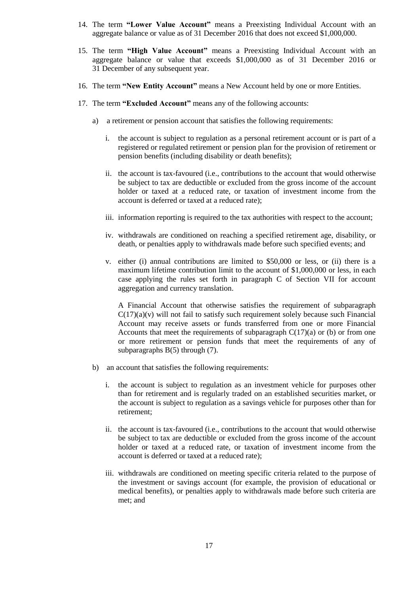- 14. The term **"Lower Value Account"** means a Preexisting Individual Account with an aggregate balance or value as of 31 December 2016 that does not exceed \$1,000,000.
- 15. The term **"High Value Account"** means a Preexisting Individual Account with an aggregate balance or value that exceeds \$1,000,000 as of 31 December 2016 or 31 December of any subsequent year.
- 16. The term **"New Entity Account"** means a New Account held by one or more Entities.
- 17. The term **"Excluded Account"** means any of the following accounts:
	- a) a retirement or pension account that satisfies the following requirements:
		- i. the account is subject to regulation as a personal retirement account or is part of a registered or regulated retirement or pension plan for the provision of retirement or pension benefits (including disability or death benefits);
		- ii. the account is tax-favoured (i.e., contributions to the account that would otherwise be subject to tax are deductible or excluded from the gross income of the account holder or taxed at a reduced rate, or taxation of investment income from the account is deferred or taxed at a reduced rate);
		- iii. information reporting is required to the tax authorities with respect to the account;
		- iv. withdrawals are conditioned on reaching a specified retirement age, disability, or death, or penalties apply to withdrawals made before such specified events; and
		- v. either (i) annual contributions are limited to \$50,000 or less, or (ii) there is a maximum lifetime contribution limit to the account of \$1,000,000 or less, in each case applying the rules set forth in paragraph C of Section VII for account aggregation and currency translation.

A Financial Account that otherwise satisfies the requirement of subparagraph  $C(17)(a)(v)$  will not fail to satisfy such requirement solely because such Financial Account may receive assets or funds transferred from one or more Financial Accounts that meet the requirements of subparagraph  $C(17)(a)$  or (b) or from one or more retirement or pension funds that meet the requirements of any of subparagraphs B(5) through (7).

- b) an account that satisfies the following requirements:
	- i. the account is subject to regulation as an investment vehicle for purposes other than for retirement and is regularly traded on an established securities market, or the account is subject to regulation as a savings vehicle for purposes other than for retirement;
	- ii. the account is tax-favoured (i.e., contributions to the account that would otherwise be subject to tax are deductible or excluded from the gross income of the account holder or taxed at a reduced rate, or taxation of investment income from the account is deferred or taxed at a reduced rate);
	- iii. withdrawals are conditioned on meeting specific criteria related to the purpose of the investment or savings account (for example, the provision of educational or medical benefits), or penalties apply to withdrawals made before such criteria are met; and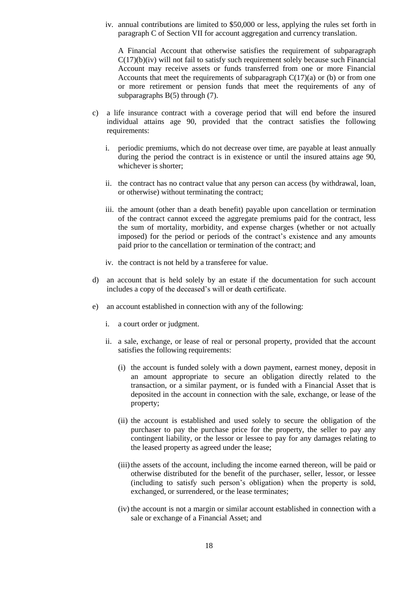iv. annual contributions are limited to \$50,000 or less, applying the rules set forth in paragraph C of Section VII for account aggregation and currency translation.

A Financial Account that otherwise satisfies the requirement of subparagraph  $C(17)(b)(iv)$  will not fail to satisfy such requirement solely because such Financial Account may receive assets or funds transferred from one or more Financial Accounts that meet the requirements of subparagraph  $C(17)(a)$  or (b) or from one or more retirement or pension funds that meet the requirements of any of subparagraphs B(5) through (7).

- c) a life insurance contract with a coverage period that will end before the insured individual attains age 90, provided that the contract satisfies the following requirements:
	- i. periodic premiums, which do not decrease over time, are payable at least annually during the period the contract is in existence or until the insured attains age 90, whichever is shorter;
	- ii. the contract has no contract value that any person can access (by withdrawal, loan, or otherwise) without terminating the contract;
	- iii. the amount (other than a death benefit) payable upon cancellation or termination of the contract cannot exceed the aggregate premiums paid for the contract, less the sum of mortality, morbidity, and expense charges (whether or not actually imposed) for the period or periods of the contract's existence and any amounts paid prior to the cancellation or termination of the contract; and
	- iv. the contract is not held by a transferee for value.
- d) an account that is held solely by an estate if the documentation for such account includes a copy of the deceased's will or death certificate.
- e) an account established in connection with any of the following:
	- i. a court order or judgment.
	- ii. a sale, exchange, or lease of real or personal property, provided that the account satisfies the following requirements:
		- (i) the account is funded solely with a down payment, earnest money, deposit in an amount appropriate to secure an obligation directly related to the transaction, or a similar payment, or is funded with a Financial Asset that is deposited in the account in connection with the sale, exchange, or lease of the property;
		- (ii) the account is established and used solely to secure the obligation of the purchaser to pay the purchase price for the property, the seller to pay any contingent liability, or the lessor or lessee to pay for any damages relating to the leased property as agreed under the lease;
		- (iii) the assets of the account, including the income earned thereon, will be paid or otherwise distributed for the benefit of the purchaser, seller, lessor, or lessee (including to satisfy such person's obligation) when the property is sold, exchanged, or surrendered, or the lease terminates;
		- (iv) the account is not a margin or similar account established in connection with a sale or exchange of a Financial Asset; and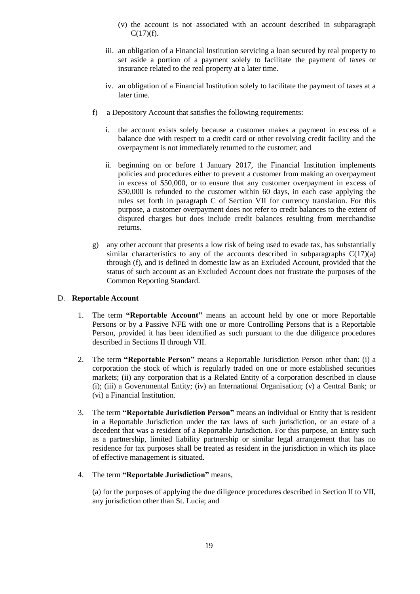- (v) the account is not associated with an account described in subparagraph  $C(17)(f)$ .
- iii. an obligation of a Financial Institution servicing a loan secured by real property to set aside a portion of a payment solely to facilitate the payment of taxes or insurance related to the real property at a later time.
- iv. an obligation of a Financial Institution solely to facilitate the payment of taxes at a later time.
- f) a Depository Account that satisfies the following requirements:
	- i. the account exists solely because a customer makes a payment in excess of a balance due with respect to a credit card or other revolving credit facility and the overpayment is not immediately returned to the customer; and
	- ii. beginning on or before 1 January 2017, the Financial Institution implements policies and procedures either to prevent a customer from making an overpayment in excess of \$50,000, or to ensure that any customer overpayment in excess of \$50,000 is refunded to the customer within 60 days, in each case applying the rules set forth in paragraph C of Section VII for currency translation. For this purpose, a customer overpayment does not refer to credit balances to the extent of disputed charges but does include credit balances resulting from merchandise returns.
- g) any other account that presents a low risk of being used to evade tax, has substantially similar characteristics to any of the accounts described in subparagraphs  $C(17)(a)$ through (f), and is defined in domestic law as an Excluded Account, provided that the status of such account as an Excluded Account does not frustrate the purposes of the Common Reporting Standard.

#### D. **Reportable Account**

- 1. The term **"Reportable Account"** means an account held by one or more Reportable Persons or by a Passive NFE with one or more Controlling Persons that is a Reportable Person, provided it has been identified as such pursuant to the due diligence procedures described in Sections II through VII.
- 2. The term **"Reportable Person"** means a Reportable Jurisdiction Person other than: (i) a corporation the stock of which is regularly traded on one or more established securities markets; (ii) any corporation that is a Related Entity of a corporation described in clause (i); (iii) a Governmental Entity; (iv) an International Organisation; (v) a Central Bank; or (vi) a Financial Institution.
- 3. The term **"Reportable Jurisdiction Person"** means an individual or Entity that is resident in a Reportable Jurisdiction under the tax laws of such jurisdiction, or an estate of a decedent that was a resident of a Reportable Jurisdiction. For this purpose, an Entity such as a partnership, limited liability partnership or similar legal arrangement that has no residence for tax purposes shall be treated as resident in the jurisdiction in which its place of effective management is situated.
- 4. The term **"Reportable Jurisdiction"** means,

(a) for the purposes of applying the due diligence procedures described in Section II to VII, any jurisdiction other than St. Lucia; and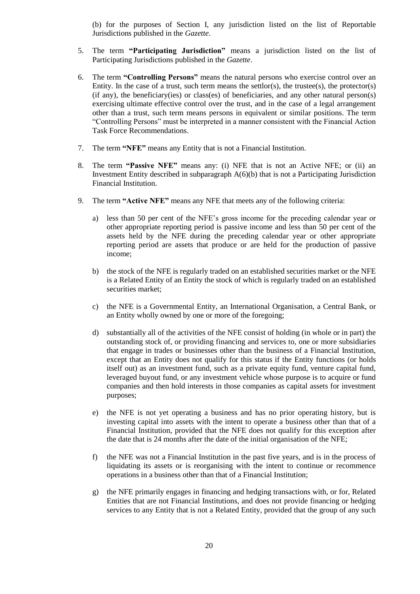(b) for the purposes of Section I, any jurisdiction listed on the list of Reportable Jurisdictions published in the *Gazette*.

- 5. The term **"Participating Jurisdiction"** means a jurisdiction listed on the list of Participating Jurisdictions published in the *Gazette*.
- 6. The term **"Controlling Persons"** means the natural persons who exercise control over an Entity. In the case of a trust, such term means the settlor(s), the trustee(s), the protector(s) (if any), the beneficiary(ies) or class(es) of beneficiaries, and any other natural person(s) exercising ultimate effective control over the trust, and in the case of a legal arrangement other than a trust, such term means persons in equivalent or similar positions. The term "Controlling Persons" must be interpreted in a manner consistent with the Financial Action Task Force Recommendations.
- 7. The term **"NFE"** means any Entity that is not a Financial Institution.
- 8. The term **"Passive NFE"** means any: (i) NFE that is not an Active NFE; or (ii) an Investment Entity described in subparagraph  $A(6)(b)$  that is not a Participating Jurisdiction Financial Institution.
- 9. The term **"Active NFE"** means any NFE that meets any of the following criteria:
	- a) less than 50 per cent of the NFE's gross income for the preceding calendar year or other appropriate reporting period is passive income and less than 50 per cent of the assets held by the NFE during the preceding calendar year or other appropriate reporting period are assets that produce or are held for the production of passive income;
	- b) the stock of the NFE is regularly traded on an established securities market or the NFE is a Related Entity of an Entity the stock of which is regularly traded on an established securities market;
	- c) the NFE is a Governmental Entity, an International Organisation, a Central Bank, or an Entity wholly owned by one or more of the foregoing;
	- d) substantially all of the activities of the NFE consist of holding (in whole or in part) the outstanding stock of, or providing financing and services to, one or more subsidiaries that engage in trades or businesses other than the business of a Financial Institution, except that an Entity does not qualify for this status if the Entity functions (or holds itself out) as an investment fund, such as a private equity fund, venture capital fund, leveraged buyout fund, or any investment vehicle whose purpose is to acquire or fund companies and then hold interests in those companies as capital assets for investment purposes;
	- e) the NFE is not yet operating a business and has no prior operating history, but is investing capital into assets with the intent to operate a business other than that of a Financial Institution, provided that the NFE does not qualify for this exception after the date that is 24 months after the date of the initial organisation of the NFE;
	- f) the NFE was not a Financial Institution in the past five years, and is in the process of liquidating its assets or is reorganising with the intent to continue or recommence operations in a business other than that of a Financial Institution;
	- g) the NFE primarily engages in financing and hedging transactions with, or for, Related Entities that are not Financial Institutions, and does not provide financing or hedging services to any Entity that is not a Related Entity, provided that the group of any such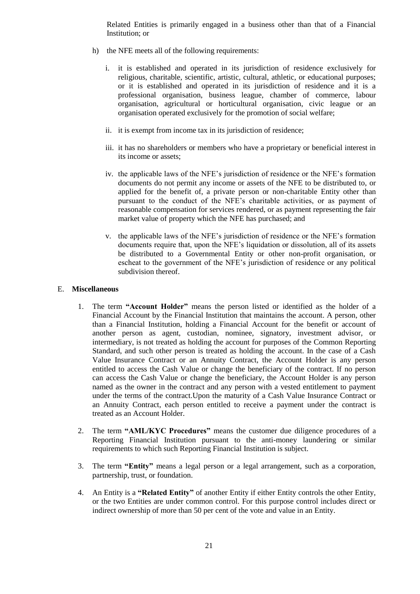Related Entities is primarily engaged in a business other than that of a Financial Institution; or

- h) the NFE meets all of the following requirements:
	- i. it is established and operated in its jurisdiction of residence exclusively for religious, charitable, scientific, artistic, cultural, athletic, or educational purposes; or it is established and operated in its jurisdiction of residence and it is a professional organisation, business league, chamber of commerce, labour organisation, agricultural or horticultural organisation, civic league or an organisation operated exclusively for the promotion of social welfare;
	- ii. it is exempt from income tax in its jurisdiction of residence;
	- iii. it has no shareholders or members who have a proprietary or beneficial interest in its income or assets;
	- iv. the applicable laws of the NFE's jurisdiction of residence or the NFE's formation documents do not permit any income or assets of the NFE to be distributed to, or applied for the benefit of, a private person or non-charitable Entity other than pursuant to the conduct of the NFE's charitable activities, or as payment of reasonable compensation for services rendered, or as payment representing the fair market value of property which the NFE has purchased; and
	- v. the applicable laws of the NFE's jurisdiction of residence or the NFE's formation documents require that, upon the NFE's liquidation or dissolution, all of its assets be distributed to a Governmental Entity or other non-profit organisation, or escheat to the government of the NFE's jurisdiction of residence or any political subdivision thereof.

#### E. **Miscellaneous**

- 1. The term **"Account Holder"** means the person listed or identified as the holder of a Financial Account by the Financial Institution that maintains the account. A person, other than a Financial Institution, holding a Financial Account for the benefit or account of another person as agent, custodian, nominee, signatory, investment advisor, or intermediary, is not treated as holding the account for purposes of the Common Reporting Standard, and such other person is treated as holding the account. In the case of a Cash Value Insurance Contract or an Annuity Contract, the Account Holder is any person entitled to access the Cash Value or change the beneficiary of the contract. If no person can access the Cash Value or change the beneficiary, the Account Holder is any person named as the owner in the contract and any person with a vested entitlement to payment under the terms of the contract.Upon the maturity of a Cash Value Insurance Contract or an Annuity Contract, each person entitled to receive a payment under the contract is treated as an Account Holder.
- 2. The term **"AML/KYC Procedures"** means the customer due diligence procedures of a Reporting Financial Institution pursuant to the anti-money laundering or similar requirements to which such Reporting Financial Institution is subject.
- 3. The term **"Entity"** means a legal person or a legal arrangement, such as a corporation, partnership, trust, or foundation.
- 4. An Entity is a **"Related Entity"** of another Entity if either Entity controls the other Entity, or the two Entities are under common control. For this purpose control includes direct or indirect ownership of more than 50 per cent of the vote and value in an Entity.